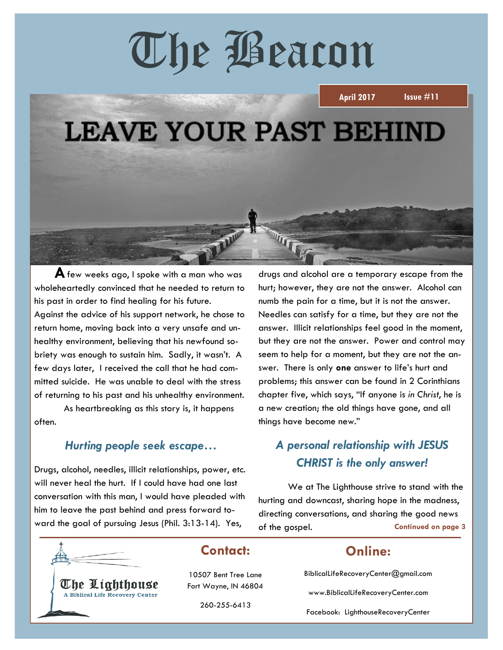# The Beacon



**A** few weeks ago, I spoke with a man who was wholeheartedly convinced that he needed to return to his past in order to find healing for his future. Against the advice of his support network, he chose to return home, moving back into a very unsafe and unhealthy environment, believing that his newfound sobriety was enough to sustain him. Sadly, it wasn't. A few days later, I received the call that he had committed suicide. He was unable to deal with the stress of returning to his past and his unhealthy environment.

As heartbreaking as this story is, it happens often.

#### *Hurting people seek escape…*

Drugs, alcohol, needles, illicit relationships, power, etc. will never heal the hurt. If I could have had one last conversation with this man, I would have pleaded with him to leave the past behind and press forward toward the goal of pursuing Jesus (Phil. 3:13-14). Yes, of the gospel. Continued on page 3

drugs and alcohol are a temporary escape from the hurt; however, they are not the answer. Alcohol can numb the pain for a time, but it is not the answer. Needles can satisfy for a time, but they are not the answer. Illicit relationships feel good in the moment, but they are not the answer. Power and control may seem to help for a moment, but they are not the answer. There is only **one** answer to life's hurt and problems; this answer can be found in 2 Corinthians chapter five, which says, "If anyone is *in Christ*, he is a new creation; the old things have gone, and all things have become new."

## *A personal relationship with JESUS CHRIST is the only answer!*

We at The Lighthouse strive to stand with the hurting and downcast, sharing hope in the madness, directing conversations, and sharing the good news of the gospel.



The Lighthouse A Biblical Life Recovery Center

## **Contact:**

10507 Bent Tree Lane Fort Wayne, IN 46804

260-255-6413

#### **Online:**

BiblicalLifeRecoveryCenter@gmail.com

www.BiblicalLifeRecoveryCenter.com

Facebook: LighthouseRecoveryCenter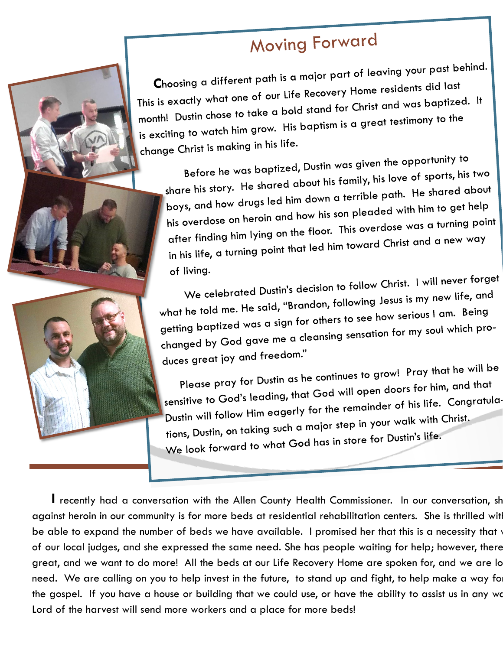# **Moving Forward**

Choosing a different path is a major part of leaving your past behind. This is exactly what one of our Life Recovery Home residents did last month! Dustin chose to take a bold stand for Christ and was baptized. It is exciting to watch him grow. His baptism is a great testimony to the change Christ is making in his life.

Before he was baptized, Dustin was given the opportunity to share his story. He shared about his family, his love of sports, his two boys, and how drugs led him down a terrible path. He shared about his overdose on heroin and how his son pleaded with him to get help after finding him lying on the floor. This overdose was a turning point in his life, a turning point that led him toward Christ and a new way of living.

We celebrated Dustin's decision to follow Christ. I will never forget what he told me. He said, "Brandon, following Jesus is my new life, and getting baptized was a sign for others to see how serious I am. Being changed by God gave me a cleansing sensation for my soul which produces great joy and freedom."

Please pray for Dustin as he continues to grow! Pray that he will be sensitive to God's leading, that God will open doors for him, and that Dustin will follow Him eagerly for the remainder of his life. Congratula tions, Dustin, on taking such a major step in your walk with Christ. We look forward to what God has in store for Dustin's life.

I recently had a conversation with the Allen County Health Commissioner. In our conversation, sh against heroin in our community is for more beds at residential rehabilitation centers. She is thrilled wit be able to expand the number of beds we have available. I promised her that this is a necessity that of our local judges, and she expressed the same need. She has people waiting for help; however, there great, and we want to do more! All the beds at our Life Recovery Home are spoken for, and we are lo need. We are calling on you to help invest in the future, to stand up and fight, to help make a way fo the gospel. If you have a house or building that we could use, or have the ability to assist us in any wo Lord of the harvest will send more workers and a place for more beds!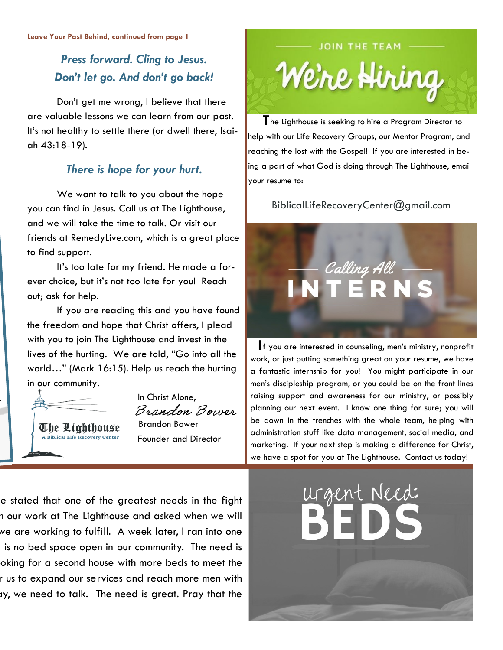# *Press forward. Cling to Jesus. Don't let go. And don't go back!*

Don't get me wrong, I believe that there are valuable lessons we can learn from our past. It's not healthy to settle there (or dwell there, Isaiah 43:18-19).

#### *There is hope for your hurt.*

We want to talk to you about the hope you can find in Jesus. Call us at The Lighthouse, and we will take the time to talk. Or visit our friends at RemedyLive.com, which is a great place to find support.

It's too late for my friend. He made a forever choice, but it's not too late for you! Reach out; ask for help.

If you are reading this and you have found the freedom and hope that Christ offers, I plead with you to join The Lighthouse and invest in the lives of the hurting. We are told, "Go into all the world…" (Mark 16:15). Help us reach the hurting in our community.

A Biblical Life Recovery Center

 In Christ Alone, Brandon Bower **The Lighthouse** Brandon Bower Founder and Director



 **T**he Lighthouse is seeking to hire a Program Director to help with our Life Recovery Groups, our Mentor Program, and reaching the lost with the Gospel! If you are interested in being a part of what God is doing through The Lighthouse, email your resume to:

BiblicalLifeRecoveryCenter@gmail.com



 **I**f you are interested in counseling, men's ministry, nonprofit work, or just putting something great on your resume, we have a fantastic internship for you! You might participate in our men's discipleship program, or you could be on the front lines raising support and awareness for our ministry, or possibly planning our next event. I know one thing for sure; you will be down in the trenches with the whole team, helping with administration stuff like data management, social media, and marketing. If your next step is making a difference for Christ, we have a spot for you at The Lighthouse. Contact us today!

e stated that one of the greatest needs in the fight a our work at The Lighthouse and asked when we will we are working to fulfill. A week later, I ran into one is no bed space open in our community. The need is oking for a second house with more beds to meet the r us to expand our services and reach more men with ty, we need to talk. The need is great. Pray that the